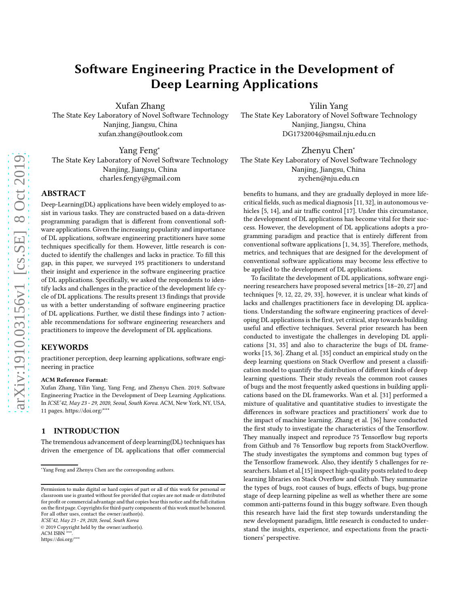# Software Engineering Practice in the Development of Deep Learning Applications

Xufan Zhang

The State Key Laboratory of Novel Software Technology Nanjing, Jiangsu, China xufan.zhang@outlook.com

Yang Feng<sup>∗</sup> The State Key Laboratory of Novel Software Technology Nanjing, Jiangsu, China charles.fengy@gmail.com

# ABSTRACT

Deep-Learning(DL) applications have been widely employed to assist in various tasks. They are constructed based on a data-driven programming paradigm that is different from conventional software applications. Given the increasing popularity and importance of DL applications, software engineering practitioners have some techniques specifically for them. However, little research is conducted to identify the challenges and lacks in practice. To fill this gap, in this paper, we surveyed 195 practitioners to understand their insight and experience in the software engineering practice of DL applications. Specifically, we asked the respondents to identify lacks and challenges in the practice of the development life cycle of DL applications. The results present 13 findings that provide us with a better understanding of software engineering practice of DL applications. Further, we distil these findings into 7 actionable recommendations for software engineering researchers and practitioners to improve the development of DL applications.

# **KEYWORDS**

practitioner perception, deep learning applications, software engineering in practice

#### ACM Reference Format:

Xufan Zhang, Yilin Yang, Yang Feng, and Zhenyu Chen. 2019. Software Engineering Practice in the Development of Deep Learning Applications. In ICSE'42, May 23 - 29, 2020, Seoul, South Korea. ACM, New York, NY, USA, [11](#page-10-0) pages. [https://doi.org/\\*\\*\\*](https://doi.org/***)

# 1 INTRODUCTION

The tremendous advancement of deep learning(DL) techniques has driven the emergence of DL applications that offer commercial

ICSE'42, May 23 - 29, 2020, Seoul, South Korea

© 2019 Copyright held by the owner/author(s).

ACM ISBN

[https://doi.org/\\*\\*\\*](https://doi.org/***)

Yilin Yang The State Key Laboratory of Novel Software Technology Nanjing, Jiangsu, China DG1732004@smail.nju.edu.cn

Zhenyu Chen<sup>∗</sup> The State Key Laboratory of Novel Software Technology Nanjing, Jiangsu, China zychen@nju.edu.cn

benefits to humans, and they are gradually deployed in more lifecritical fields, such as medical diagnosis [\[11,](#page-9-0) [32](#page-9-1)], in autonomous vehicles [\[5,](#page-9-2) [14](#page-9-3)], and air traffic control [\[17\]](#page-9-4). Under this circumstance, the development of DL applications has become vital for their success. However, the development of DL applications adopts a programming paradigm and practice that is entirely different from conventional software applications [\[1,](#page-9-5) [34,](#page-9-6) [35\]](#page-9-7). Therefore, methods, metrics, and techniques that are designed for the development of conventional software applications may become less effective to be applied to the development of DL applications.

To facilitate the development of DL applications, software engineering researchers have proposed several metrics [\[18](#page-9-8)[–20,](#page-9-9) [27\]](#page-9-10) and techniques [\[9,](#page-9-11) [12](#page-9-12), [22](#page-9-13), [29,](#page-9-14) [33\]](#page-9-15), however, it is unclear what kinds of lacks and challenges practitioners face in developing DL applications. Understanding the software engineering practices of developing DL applications is the first, yet critical, step towards building useful and effective techniques. Several prior research has been conducted to investigate the challenges in developing DL applications [\[31](#page-9-16), [35](#page-9-7)] and also to characterize the bugs of DL frameworks [\[15,](#page-9-17) [36\]](#page-10-1). Zhang et al. [\[35\]](#page-9-7) conduct an empirical study on the deep learning questions on Stack Overflow and present a classification model to quantify the distribution of different kinds of deep learning questions. Their study reveals the common root causes of bugs and the most frequently asked questions in building applications based on the DL frameworks. Wan et al. [\[31\]](#page-9-16) performed a mixture of qualitative and quantitative studies to investigate the differences in software practices and practitioners' work due to the impact of machine learning. Zhang et al. [\[36](#page-10-1)] have conducted the first study to investigate the characteristics of the Tensorflow. They manually inspect and reproduce 75 Tensorflow bug reports from Github and 76 Tensorflow bug reports from StackOverflow. The study investigates the symptoms and common bug types of the Tensorflow framework. Also, they identify 5 challenges for researchers. Islam et al.[\[15](#page-9-17)] inspect high-quality posts related to deep learning libraries on Stack Overflow and Github. They summarize the types of bugs, root causes of bugs, effects of bugs, bug-prone stage of deep learning pipeline as well as whether there are some common anti-patterns found in this buggy software. Even though this research have laid the first step towards understanding the new development paradigm, little research is conducted to understand the insights, experience, and expectations from the practitioners' perspective.

<sup>∗</sup>Yang Feng and Zhenyu Chen are the corresponding authors.

Permission to make digital or hard copies of part or all of this work for personal or classroom use is granted without fee provided that copies are not made or distributed for profit or commercial advantage and that copies bear this notice and the full citation on the first page. Copyrights for third-party components of this work must be honored. For all other uses, contact the owner/author(s).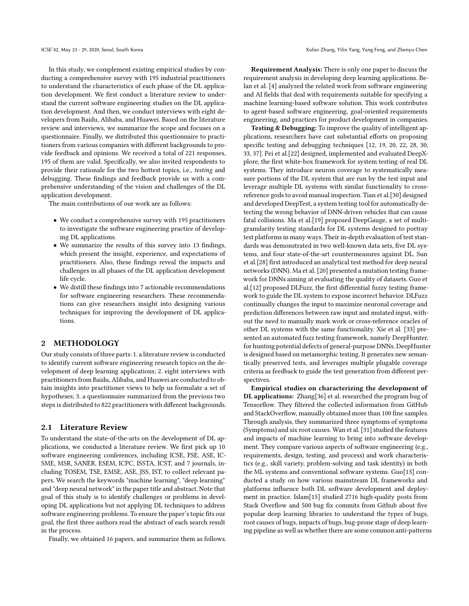In this study, we complement existing empirical studies by conducting a comprehensive survey with 195 industrial practitioners to understand the characteristics of each phase of the DL application development. We first conduct a literature review to understand the current software engineering studies on the DL application development. And then, we conduct interviews with eight developers from Baidu, Alibaba, and Huawei. Based on the literature review and interviews, we summarize the scope and focuses on a questionnaire. Finally, we distributed this questionnaire to practitioners from various companies with different backgrounds to provide feedback and opinions. We received a total of 221 responses, 195 of them are valid. Specifically, we also invited respondents to provide their rationale for the two hottest topics, i.e., testing and debugging. These findings and feedback provide us with a comprehensive understanding of the vision and challenges of the DL application development.

The main contributions of our work are as follows:

- We conduct a comprehensive survey with 195 practitioners to investigate the software engineering practice of developing DL applications.
- We summarize the results of this survey into 13 findings, which present the insight, experience, and expectations of practitioners. Also, these findings reveal the impacts and challenges in all phases of the DL application development life cycle.
- We distill these findings into 7 actionable recommendations for software engineering researchers. These recommendations can give researchers insight into designing various techniques for improving the development of DL applications.

## 2 METHODOLOGY

Our study consists of three parts: 1. a literature review is conducted to identify current software engineering research topics on the development of deep learning applications; 2. eight interviews with practitioners from Baidu, Alibaba, and Huawei are conducted to obtain insights into practitioner views to help us formulate a set of hypotheses; 3. a questionnaire summarized from the previous two steps is distributed to 822 practitioners with different backgrounds.

### 2.1 Literature Review

To understand the state-of-the-arts on the development of DL applications, we conducted a literature review. We first pick up 10 software engineering conferences, including ICSE, FSE, ASE, IC-SME, MSR, SANER, ESEM, ICPC, ISSTA, ICST, and 7 journals, including TOSEM, TSE, EMSE, ASE, JSS, IST, to collect relevant papers. We search the keywords "machine learning", "deep learning" and "deep neural network" in the paper title and abstract. Note that goal of this study is to identify challenges or problems in developing DL applications but not applying DL techniques to address software engineering problems. To ensure the paper's topic fits our goal, the first three authors read the abstract of each search result in the process.

Finally, we obtained 16 papers, and summarize them as follows.

Requirement Analysis: There is only one paper to discuss the requirement analysis in developing deep learning applications. Belan et al. [\[4](#page-9-18)] analyzed the related work from software engineering and AI fields that deal with requirements suitable for specifying a machine learning-based software solution. This work contributes to agent-based software engineering, goal-oriented requirements engineering, and practices for product development in companies.

Testing & Debugging: To improve the quality of intelligent applications, researchers have cast substantial efforts on proposing specific testing and debugging techniques [\[12,](#page-9-12) [19](#page-9-19), [20,](#page-9-9) [22](#page-9-13), [28,](#page-9-20) [30](#page-9-21), [33](#page-9-15), [37\]](#page-10-2). Pei et al.[\[22\]](#page-9-13) designed, implemented and evaluated DeepXplore, the first white-box framework for system testing of real DL systems. They introduce neuron coverage to systematically measure portions of the DL system that are run by the test input and leverage multiple DL systems with similar functionality to crossreference gods to avoid manual inspection. Tian et al.[\[30\]](#page-9-21) designed and developed DeepTest, a system testing tool for automatically detecting the wrong behavior of DNN-driven vehicles that can cause fatal collisions. Ma et al.[\[19\]](#page-9-19) proposed DeepGauge, a set of multigranularity testing standards for DL systems designed to portray test platforms in many ways. Their in-depth evaluation of test standards was demonstrated in two well-known data sets, five DL systems, and four state-of-the-art countermeasures against DL. Sun et al.[\[28\]](#page-9-20) first introduced an analytical test method for deep neural networks (DNN). Ma et al. [\[20\]](#page-9-9) presented a mutation testing framework for DNNs aiming at evaluating the quality of datasets. Guo et al.[\[12\]](#page-9-12) proposed DLFuzz, the first differential fuzzy testing framework to guide the DL system to expose incorrect behavior. DLFuzz continually changes the input to maximize neuronal coverage and prediction differences between raw input and mutated input, without the need to manually mark work or cross-reference oracles of other DL systems with the same functionality. Xie et al. [\[33\]](#page-9-15) presented an automated fuzz testing framework, namely DeepHunter, for hunting potential defects of general-purpose DNNs. DeepHunter is designed based on metamorphic testing. It generates new semantically preserved tests, and leverages multiple plugable coverage criteria as feedback to guide the test generation from different perspectives.

Empirical studies on characterizing the development of DL applications: Zhang[\[36\]](#page-10-1) et al. researched the program bug of Tensorflow. They filtered the collected information from GitHub and StackOverflow, manually obtained more than 100 fine samples. Through analysis, they summarized three symptoms of symptoms (Symptoms) and six root causes. Wan et al. [\[31\]](#page-9-16) studied the features and impacts of machine learning to bring into software development. They compare various aspects of software engineering (e.g., requirements, design, testing, and process) and work characteristics (e.g., skill variety, problem-solving and task identity) in both the ML systems and conventional software systems. Guo[\[13\]](#page-9-22) conducted a study on how various mainstream DL frameworks and platforms influence both DL software development and deployment in practice. Islam[\[15](#page-9-17)] studied 2716 high-quality posts from Stack Overflow and 500 bug fix commits from Github about five popular deep learning libraries to understand the types of bugs, root causes of bugs, impacts of bugs, bug-prone stage of deep learning pipeline as well as whether there are some common anti-patterns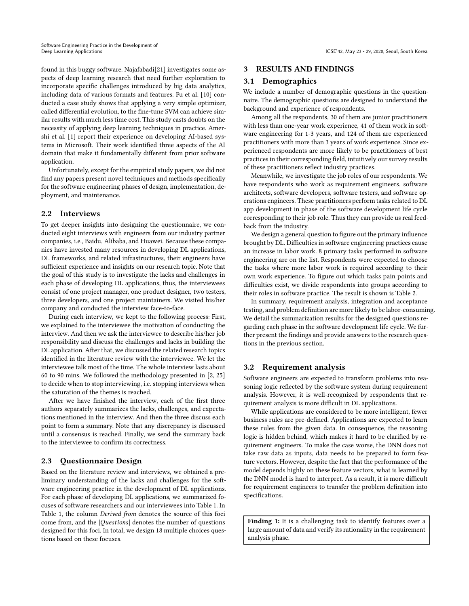found in this buggy software. Najafabadi[\[21](#page-9-23)] investigates some aspects of deep learning research that need further exploration to incorporate specific challenges introduced by big data analytics, including data of various formats and features. Fu et al. [\[10\]](#page-9-24) conducted a case study shows that applying a very simple optimizer, called differential evolution, to the fine-tune SVM can achieve similar results with much less time cost. This study casts doubts on the necessity of applying deep learning techniques in practice. Amershi et al. [\[1\]](#page-9-5) report their experience on developing AI-based systems in Microsoft. Their work identified three aspects of the AI domain that make it fundamentally different from prior software application.

Unfortunately, except for the empirical study papers, we did not find any papers present novel techniques and methods specifically for the software engineering phases of design, implementation, deployment, and maintenance.

## 2.2 Interviews

To get deeper insights into designing the questionnaire, we conducted eight interviews with engineers from our industry partner companies, i.e., Baidu, Alibaba, and Huawei. Because these companies have invested many resources in developing DL applications, DL frameworks, and related infrastructures, their engineers have sufficient experience and insights on our research topic. Note that the goal of this study is to investigate the lacks and challenges in each phase of developing DL applications, thus, the interviewees consist of one project manager, one product designer, two testers, three developers, and one project maintainers. We visited his/her company and conducted the interview face-to-face.

During each interview, we kept to the following process: First, we explained to the interviewee the motivation of conducting the interview. And then we ask the interviewee to describe his/her job responsibility and discuss the challenges and lacks in building the DL application. After that, we discussed the related research topics identified in the literature review with the interviewee. We let the interviewee talk most of the time. The whole interview lasts about 60 to 90 mins. We followed the methodology presented in [\[2,](#page-9-25) [25\]](#page-9-26) to decide when to stop interviewing, i.e. stopping interviews when the saturation of the themes is reached.

After we have finished the interview, each of the first three authors separately summarizes the lacks, challenges, and expectations mentioned in the interview. And then the three discuss each point to form a summary. Note that any discrepancy is discussed until a consensus is reached. Finally, we send the summary back to the interviewee to confirm its correctness.

# 2.3 Questionnaire Design

Based on the literature review and interviews, we obtained a preliminary understanding of the lacks and challenges for the software engineering practice in the development of DL applications. For each phase of developing DL applications, we summarized focuses of software researchers and our interviewees into Table [1.](#page-3-0) In Table [1,](#page-3-0) the column Derived from denotes the source of this foci come from, and the |Questions| denotes the number of questions designed for this foci. In total, we design 18 multiple choices questions based on these focuses.

# 3 RESULTS AND FINDINGS

### 3.1 Demographics

We include a number of demographic questions in the questionnaire. The demographic questions are designed to understand the background and experience of respondents.

Among all the respondents, 30 of them are junior practitioners with less than one-year work experience, 41 of them work in software engineering for 1-3 years, and 124 of them are experienced practitioners with more than 3 years of work experience. Since experienced respondents are more likely to be practitioners of best practices in their corresponding field, intuitively our survey results of these practitioners reflect industry practices.

Meanwhile, we investigate the job roles of our respondents. We have respondents who work as requirement engineers, software architects, software developers, software testers, and software operations engineers. These practitioners perform tasks related to DL app development in phase of the software development life cycle corresponding to their job role. Thus they can provide us real feedback from the industry.

We design a general question to figure out the primary influence brought by DL. Difficulties in software engineering practices cause an increase in labor work. 8 primary tasks performed in software engineering are on the list. Respondents were expected to choose the tasks where more labor work is required according to their own work experience. To figure out which tasks pain points and difficulties exist, we divide respondents into groups according to their roles in software practice. The result is shown is Table [2.](#page-3-1)

In summary, requirement analysis, integration and acceptance testing, and problem definition are more likely to be labor-consuming. We detail the summarization results for the designed questions regarding each phase in the software development life cycle. We further present the findings and provide answers to the research questions in the previous section.

# 3.2 Requirement analysis

Software engineers are expected to transform problems into reasoning logic reflected by the software system during requirement analysis. However, it is well-recognized by respondents that requirement analysis is more difficult in DL applications.

While applications are considered to be more intelligent, fewer business rules are pre-defined. Applications are expected to learn these rules from the given data. In consequence, the reasoning logic is hidden behind, which makes it hard to be clarified by requirement engineers. To make the case worse, the DNN does not take raw data as inputs, data needs to be prepared to form feature vectors. However, despite the fact that the performance of the model depends highly on these feature vectors, what is learned by the DNN model is hard to interpret. As a result, it is more difficult for requirement engineers to transfer the problem definition into specifications.

Finding 1: It is a challenging task to identify features over a large amount of data and verify its rationality in the requirement analysis phase.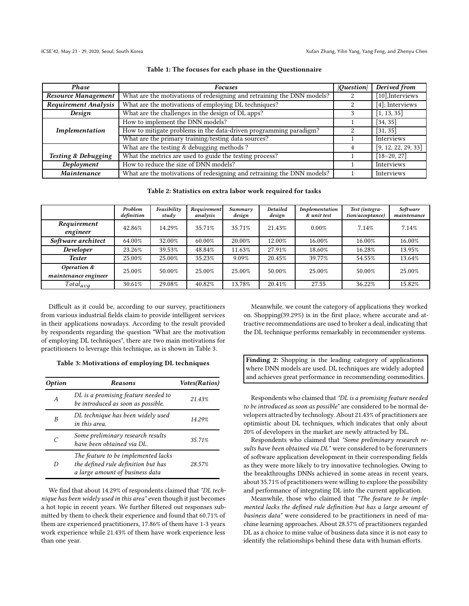<span id="page-3-0"></span>

| <b>Phase</b>                   | <b>Focuses</b>                                                         | Question | Derived from        |
|--------------------------------|------------------------------------------------------------------------|----------|---------------------|
| <b>Resource Management</b>     | What are the motivations of redesigning and retraining the DNN models? |          | $[10]$ , Interviews |
| <b>Requirement Analysis</b>    | What are the motivations of employing DL techniques?                   | 2        | $[4]$ ; Interviews  |
| Design                         | What are the challenges in the design of DL apps?                      |          | [1, 13, 35]         |
|                                | How to implement the DNN models?                                       |          | [34, 35]            |
| Implementation                 | How to mitigate problems in the data-driven programming paradigm?      |          | [31, 35]            |
|                                | What are the primary training/testing data sources?                    |          | Interviews          |
|                                | What are the testing $&$ debugging methods ?                           |          | [9, 12, 22, 29, 33] |
| <b>Testing &amp; Debugging</b> | What the metrics are used to guide the testing process?                |          | $[18-20, 27]$       |
| Deployment                     | How to reduce the size of DNN models?                                  |          | Interviews          |
| Maintenance                    | What are the motivations of redesigning and retraining the DNN models? |          | Interviews          |

### Table 1: The focuses for each phase in the Questionnaire

Table 2: Statistics on extra labor work required for tasks

<span id="page-3-1"></span>

|                                        | Problem<br>definition | Feasibility<br>study | Requirement<br>analysis | Summary<br>design | <b>Detailed</b><br>design | Implementation<br>& unit test | Test (integra-<br>tion/acceptance) | Software<br>maintenance |
|----------------------------------------|-----------------------|----------------------|-------------------------|-------------------|---------------------------|-------------------------------|------------------------------------|-------------------------|
| Requirement<br>engineer                | 42.86%                | 14.29%               | 35.71%                  | 35.71%            | 21.43%                    | $0.00\%$                      | 7.14%                              | 7.14%                   |
| Software architect                     | 64.00%                | 32.00%               | 60.00%                  | 20.00%            | 12.00%                    | 16.00%                        | 16.00%                             | 16.00%                  |
| Developer                              | 23.26%                | 39.53%               | 48.84%                  | 11.63%            | 27.91%                    | 18.60%                        | 16.28%                             | 13.95%                  |
| <b>Tester</b>                          | 25.00%                | 25.00%               | 35.23%                  | 9.09%             | 20.45%                    | 39.77%                        | 54.55%                             | 13.64%                  |
| Operation $\&$<br>maintenance engineer | 25.00%                | 50.00%               | 25.00%                  | 25.00%            | 50.00%                    | 25.00%                        | 50.00%                             | 25.00%                  |
| $Total_{ava}$                          | 30.61%                | 29.08%               | 40.82%                  | 13.78%            | 20.41%                    | 27.55                         | 36.22%                             | 15.82%                  |

Difficult as it could be, according to our survey, practitioners from various industrial fields claim to provide intelligent services in their applications nowadays. According to the result provided by respondents regarding the question "What are the motivation of employing DL techniques", there are two main motivations for practitioners to leverage this technique, as is shown in Table [3.](#page-3-2)

#### <span id="page-3-2"></span>Table 3: Motivations of employing DL techniques

| <i><b>Option</b></i> | <b>Reasons</b>                                                                                                | Votes(Ratios) |
|----------------------|---------------------------------------------------------------------------------------------------------------|---------------|
| A                    | DL is a promising feature needed to<br>be introduced as soon as possible.                                     | 21.43%        |
| B                    | DL technique has been widely used<br>in this area.                                                            | 14.29%        |
| C                    | Some preliminary research results<br>have been obtained via DL.                                               | 35.71%        |
| D                    | The feature to be implemented lacks<br>the defined rule definition but has<br>a large amount of business data | 28.57%        |

We find that about 14.29% of respondents claimed that "DL technique has been widely used in this area" even though it just becomes a hot topic in recent years. We further filtered out responses submitted by them to check their experience and found that 60.71% of them are experienced practitioners, 17.86% of them have 1-3 years work experience while 21.43% of them have work experience less than one year.

Meanwhile, we count the category of applications they worked on. Shopping(39.29%) is in the first place, where accurate and attractive recommendations are used to broker a deal, indicating that the DL technique performs remarkably in recommender systems.

Finding 2: Shopping is the leading category of applications where DNN models are used. DL techniques are widely adopted and achieves great performance in recommending commodities.

Respondents who claimed that "DL is a promising feature needed to be introduced as soon as possible" are considered to be normal developers attracted by technology. About 21.43% of practitioners are optimistic about DL techniques, which indicates that only about 20% of developers in the market are newly attracted by DL.

Respondents who claimed that "Some preliminary research results have been obtained via DL" were considered to be forerunners of software application development in their corresponding fields as they were more likely to try innovative technologies. Owing to the breakthroughs DNNs achieved in some areas in recent years, about 35.71% of practitioners were willing to explore the possibility and performance of integrating DL into the current application.

Meanwhile, those who claimed that "The feature to be implemented lacks the defined rule definition but has a large amount of business data" were considered to be practitioners in need of machine learning approaches. About 28.57% of practitioners regarded DL as a choice to mine value of business data since it is not easy to identify the relationships behind these data with human efforts.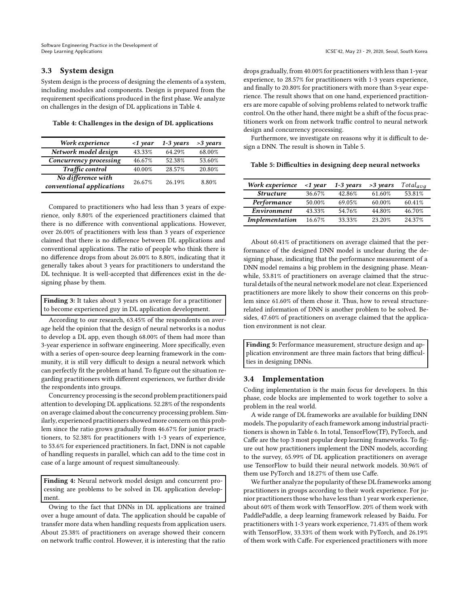# 3.3 System design

System design is the process of designing the elements of a system, including modules and components. Design is prepared from the requirement specifications produced in the first phase. We analyze on challenges in the design of DL applications in Table [4.](#page-4-0)

<span id="page-4-0"></span>Table 4: Challenges in the design of DL applications

| Work experience                                 | $\langle$ 1 year | $1-3$ years | >3 years |
|-------------------------------------------------|------------------|-------------|----------|
| Network model design                            | 43.33%           | 64.29%      | 68.00%   |
| Concurrency processing                          | 46.67%           | 52.38%      | 53.60%   |
| Traffic control                                 | 40.00%           | 28.57%      | 20.80%   |
| No difference with<br>conventional applications | 26.67%           | 26.19%      | 8.80%    |

Compared to practitioners who had less than 3 years of experience, only 8.80% of the experienced practitioners claimed that there is no difference with conventional applications. However, over 26.00% of practitioners with less than 3 years of experience claimed that there is no difference between DL applications and conventional applications. The ratio of people who think there is no difference drops from about 26.00% to 8.80%, indicating that it generally takes about 3 years for practitioners to understand the DL technique. It is well-accepted that differences exist in the designing phase by them.

Finding 3: It takes about 3 years on average for a practitioner to become experienced guy in DL application development.

According to our research, 63.45% of the respondents on average held the opinion that the design of neural networks is a nodus to develop a DL app, even though 68.00% of them had more than 3-year experience in software engineering. More specifically, even with a series of open-source deep learning framework in the community, it is still very difficult to design a neural network which can perfectly fit the problem at hand. To figure out the situation regarding practitioners with different experiences, we further divide the respondents into groups.

Concurrency processing is the second problem practitioners paid attention to developing DL applications. 52.28% of the respondents on average claimed about the concurrency processing problem. Similarly, experienced practitioners showed more concern on this problem since the ratio grows gradually from 46.67% for junior practitioners, to 52.38% for practitioners with 1-3 years of experience, to 53.6% for experienced practitioners. In fact, DNN is not capable of handling requests in parallel, which can add to the time cost in case of a large amount of request simultaneously.

Finding 4: Neural network model design and concurrent processing are problems to be solved in DL application development.

Owing to the fact that DNNs in DL applications are trained over a huge amount of data. The application should be capable of transfer more data when handling requests from application users. About 25.38% of practitioners on average showed their concern on network traffic control. However, it is interesting that the ratio

drops gradually, from 40.00% for practitioners with less than 1-year experience, to 28.57% for practitioners with 1-3 years experience, and finally to 20.80% for practitioners with more than 3-year experience. The result shows that on one hand, experienced practitioners are more capable of solving problems related to network traffic control. On the other hand, there might be a shift of the focus practitioners work on from network traffic control to neural network design and concurrency processing.

Furthermore, we investigate on reasons why it is difficult to design a DNN. The result is shown in Table [5.](#page-4-1)

<span id="page-4-1"></span>

| Table 5: Difficulties in designing deep neural networks |  |  |
|---------------------------------------------------------|--|--|
|---------------------------------------------------------|--|--|

| Work experience  | $\langle$ 1 year | $1-3$ years | $>3$ years | $Total_{avg}$ |
|------------------|------------------|-------------|------------|---------------|
| <b>Structure</b> | 36.67%           | 42.86%      | 61.60%     | 53.81%        |
| Performance      | 50.00%           | 69.05%      | 60.00%     | 60.41%        |
| Environment      | 43.33%           | 54.76%      | 44.80%     | 46.70%        |
| Implementation   | 16.67%           | 33.33%      | 23.20%     | 24.37%        |

About 60.41% of practitioners on average claimed that the performance of the designed DNN model is unclear during the designing phase, indicating that the performance measurement of a DNN model remains a big problem in the designing phase. Meanwhile, 53.81% of practitioners on average claimed that the structural details of the neural network model are not clear. Experienced practitioners are more likely to show their concerns on this problem since 61.60% of them chose it. Thus, how to reveal structurerelated information of DNN is another problem to be solved. Besides, 47.60% of practitioners on average claimed that the application environment is not clear.

Finding 5: Performance measurement, structure design and application environment are three main factors that bring difficulties in designing DNNs.

### 3.4 Implementation

Coding implementation is the main focus for developers. In this phase, code blocks are implemented to work together to solve a problem in the real world.

A wide range of DL frameworks are available for building DNN models. The popularity of each framework among industrial practitioners is shown in Table [6.](#page-5-0) In total, TensorFlow(TF), PyTorch, and Caffe are the top 3 most popular deep learning frameworks. To figure out how practitioners implement the DNN models, according to the survey, 65.99% of DL application practitioners on average use TensorFlow to build their neural network models. 30.96% of them use PyTorch and 18.27% of them use Caffe.

We further analyze the popularity of these DL frameworks among practitioners in groups according to their work experience. For junior practitioners those who have less than 1 year work experience, about 60% of them work with TensorFlow. 20% of them work with PaddlePaddle, a deep learning framework released by Baidu. For practitioners with 1-3 years work experience, 71.43% of them work with TensorFlow, 33.33% of them work with PyTorch, and 26.19% of them work with Caffe. For experienced practitioners with more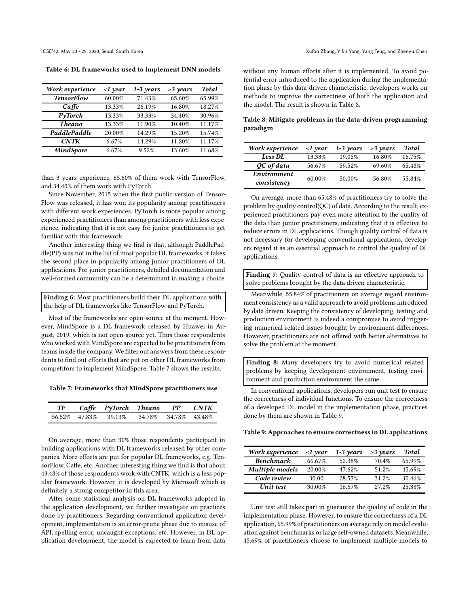<span id="page-5-0"></span>Table 6: DL frameworks used to implement DNN models

| Work experience   | $\langle$ 1 year | $1-3$ years | $>3$ years | <b>Total</b> |
|-------------------|------------------|-------------|------------|--------------|
| <b>TensorFlow</b> | 60.00%           | 71.43%      | 65.60%     | 65.99%       |
| $Ca$ ffe          | 13.33%           | 26.19%      | 16.80%     | 18.27%       |
| PyTorch           | 13.33%           | 33.33%      | 34.40%     | 30.96%       |
| <b>Theano</b>     | 13.33%           | 11.90%      | 10.40%     | 11.17%       |
| PaddlePaddle      | 20.00%           | 14.29%      | 15.20%     | 15.74%       |
| <b>CNTK</b>       | 6.67%            | 14.29%      | 11.20%     | 11.17%       |
| <b>MindSpore</b>  | 6.67%            | 9.52%       | 13.60%     | 11.68%       |

than 3 years experience, 65.60% of them work with TensorFlow, and 34.40% of them work with PyTorch.

Since November, 2015 when the first public version of Tensor-Flow was released, it has won its popularity among practitioners with different work experiences. PyTorch is more popular among experienced practitioners than among practitioners with less experience, indicating that it is not easy for junior practitioners to get familiar with this framework.

Another interesting thing we find is that, although PaddlePaddle(PP) was not in the list of most popular DL frameworks, it takes the second place in popularity among junior practitioners of DL applications. For junior practitioners, detailed documentation and well-formed community can be a determinant in making a choice.

Finding 6: Most practitioners build their DL applications with the help of DL frameworks like TensorFlow and PyTorch.

Most of the frameworks are open-source at the moment. However, MindSpore is a DL framework released by Huawei in August, 2019, which is not open-source yet. Thus those respondents who worked with MindSpore are expected to be practitioners from teams inside the company. We filter out answers from these respondents to find out efforts that are put on other DL frameworks from competitors to implement MindSpore. Table [7](#page-5-1) shows the results.

<span id="page-5-1"></span>Table 7: Frameworks that MindSpore practitioners use

| $T\!F$ | Caffe PyTorch Theano PP |        |               | CNTK |
|--------|-------------------------|--------|---------------|------|
|        | 56.52% 47.83% 39.13%    | 34.78% | 34.78% 43.48% |      |

On average, more than 30% those respondents participant in building applications with DL frameworks released by other companies. More efforts are put for popular DL frameworks, e.g. TensorFlow, Caffe, etc. Another interesting thing we find is that about 43.48% of those respondents work with CNTK, which is a less popular framework. However, it is developed by Microsoft which is definitely a strong competitor in this area.

After some statistical analysis on DL frameworks adopted in the application development, we further investigate on practices done by practitioners. Regarding conventional application development, implementation is an error-prune phase due to misuse of API, spelling error, uncaught exceptions, etc. However, in DL application development, the model is expected to learn from data

without any human efforts after it is implemented. To avoid potential error introduced to the application during the implementation phase by this data-driven characteristic, developers works on methods to improve the correctness of both the application and the model. The result is shown in Table [8.](#page-5-2)

<span id="page-5-2"></span>Table 8: Mitigate problems in the data-driven programming paradigm

| Work experience            | $\langle$ 1 year | $1-3$ years | $>3$ years | <b>Total</b> |
|----------------------------|------------------|-------------|------------|--------------|
| Less DL                    | 13.33%           | 19.05%      | 16.80%     | 16.75%       |
| QC of data                 | 56.67%           | 59.52%      | 69.60%     | 65.48%       |
| Environment<br>consistency | 60.00%           | 50.00%      | 56.80%     | 55.84%       |

On average, more than 65.48% of practitioners try to solve the problem by quality control(QC) of data. According to the result, experienced practitioners pay even more attention to the quality of the data than junior practitioners, indicating that it is effective to reduce errors in DL applications. Though quality control of data is not necessary for developing conventional applications, developers regard it as an essential approach to control the quality of DL applications.

Finding 7: Quality control of data is an effective approach to solve problems brought by the data driven characteristic.

Meanwhile, 55.84% of practitioners on average regard environment consistency as a valid approach to avoid problems introduced by data driven. Keeping the consistency of developing, testing and production environment is indeed a compromise to avoid triggering numerical related issues brought by environment differences. However, practitioners are not offered with better alternatives to solve the problem at the moment.

Finding 8: Many developers try to avoid numerical related problems by keeping development environment, testing environment and production environment the same.

In conventional applications, developers run unit test to ensure the correctness of individual functions. To ensure the correctness of a developed DL model in the implementation phase, practices done by them are shown in Table [9.](#page-5-3)

<span id="page-5-3"></span>Table 9: Approaches to ensure correctness in DL applications

| Work experience  | $\langle$ 1 year | $1-3$ years | $>3$ years | Total  |
|------------------|------------------|-------------|------------|--------|
| <b>Benchmark</b> | 66.67%           | 52.38%      | 70.4%      | 65.99% |
| Multiple models  | 20.00%           | 47.62%      | 51.2%      | 45.69% |
| Code review      | 30.00            | 28.57%      | 31.2%      | 30.46% |
| Unit test        | 30.00%           | 16.67%      | $27.2\%$   | 25.38% |

Unit test still takes part in guarantee the quality of code in the implementation phase. However, to ensure the correctness of a DL application, 65.99% of practitioners on average rely on model evaluation against benchmarks or large self-owned datasets. Meanwhile, 45.69% of practitioners choose to implement multiple models to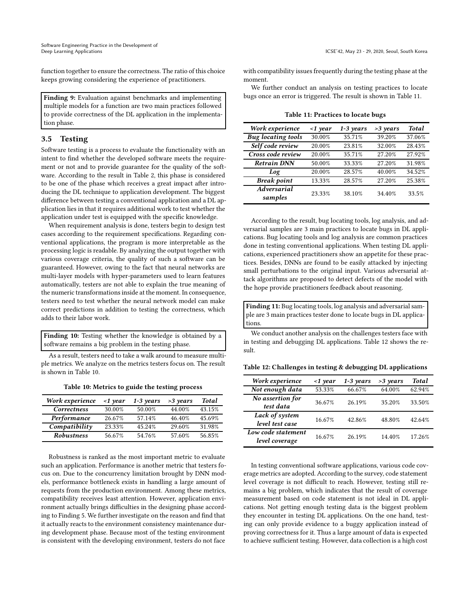function together to ensure the correctness. The ratio of this choice keeps growing considering the experience of practitioners.

Finding 9: Evaluation against benchmarks and implementing multiple models for a function are two main practices followed to provide correctness of the DL application in the implementation phase.

# 3.5 Testing

Software testing is a process to evaluate the functionality with an intent to find whether the developed software meets the requirement or not and to provide guarantee for the quality of the software. According to the result in Table [2,](#page-3-1) this phase is considered to be one of the phase which receives a great impact after introducing the DL technique to application development. The biggest difference between testing a conventional application and a DL application lies in that it requires additional work to test whether the application under test is equipped with the specific knowledge.

When requirement analysis is done, testers begin to design test cases according to the requirement specifications. Regarding conventional applications, the program is more interpretable as the processing logic is readable. By analyzing the output together with various coverage criteria, the quality of such a software can be guaranteed. However, owing to the fact that neural networks are multi-layer models with hyper-parameters used to learn features automatically, testers are not able to explain the true meaning of the numeric transformations inside at the moment. In consequence, testers need to test whether the neural network model can make correct predictions in addition to testing the correctness, which adds to their labor work.

Finding 10: Testing whether the knowledge is obtained by a software remains a big problem in the testing phase.

<span id="page-6-0"></span>As a result, testers need to take a walk around to measure multiple metrics. We analyze on the metrics testers focus on. The result is shown in Table [10.](#page-6-0)

Table 10: Metrics to guide the testing process

| Work experience   | $\langle$ 1 year | $1-3$ years | $>3$ years | <b>Total</b> |
|-------------------|------------------|-------------|------------|--------------|
| Correctness       | 30.00%           | 50.00%      | 44.00%     | 43.15%       |
| Performance       | 26.67%           | 57.14%      | 46.40%     | 45.69%       |
| Compatibility     | 23.33%           | 45.24%      | 29.60%     | 31.98%       |
| <b>Robustness</b> | 56.67%           | 54.76%      | 57.60%     | 56.85%       |

Robustness is ranked as the most important metric to evaluate such an application. Performance is another metric that testers focus on. Due to the concurrency limitation brought by DNN models, performance bottleneck exists in handling a large amount of requests from the production environment. Among these metrics, compatibility receives least attention. However, application environment actually brings difficulties in the designing phase according to Finding 5. We further investigate on the reason and find that it actually reacts to the environment consistency maintenance during development phase. Because most of the testing environment is consistent with the developing environment, testers do not face

with compatibility issues frequently during the testing phase at the moment.

<span id="page-6-1"></span>We further conduct an analysis on testing practices to locate bugs once an error is triggered. The result is shown in Table [11.](#page-6-1)

| Work experience           | $\langle$ 1 year | $1-3$ years | $>3$ years | <b>Total</b> |
|---------------------------|------------------|-------------|------------|--------------|
| <b>Bug</b> locating tools | 30.00%           | 35.71%      | 39.20%     | 37.06%       |
| Self code review          | 20.00%           | 23.81%      | 32.00%     | 28.43%       |
| Cross code review         | 20.00%           | 35.71%      | 27.20%     | 27.92%       |
| <b>Retrain DNN</b>        | 50.00%           | 33.33%      | 27.20%     | 31.98%       |
| Log                       | 20.00%           | 28.57%      | 40.00%     | 34.52%       |
| <b>Break</b> point        | 13.33%           | 28.57%      | 27.20%     | 25.38%       |
| Adversarial               | 23.33%           | 38.10%      | 34.40%     | 33.5%        |
| samples                   |                  |             |            |              |

Table 11: Practices to locate bugs

According to the result, bug locating tools, log analysis, and adversarial samples are 3 main practices to locate bugs in DL applications. Bug locating tools and log analysis are common practices done in testing conventional applications. When testing DL applications, experienced practitioners show an appetite for these practices. Besides, DNNs are found to be easily attacked by injecting small perturbations to the original input. Various adversarial attack algorithms are proposed to detect defects of the model with the hope provide practitioners feedback about reasoning.

Finding 11: Bug locating tools, log analysis and adversarial sample are 3 main practices tester done to locate bugs in DL applications.

We conduct another analysis on the challenges testers face with in testing and debugging DL applications. Table [12](#page-6-2) shows the result.

<span id="page-6-2"></span>Table 12: Challenges in testing & debugging DL applications

| Work experience                      | $\langle$ 1 year | $1-3$ years | $>3$ years | <b>Total</b> |
|--------------------------------------|------------------|-------------|------------|--------------|
| Not enough data                      | 53.33%           | 66.67%      | 64.00%     | 62.94%       |
| No assertion for<br>test data        | 36.67%           | 26.19%      | 35.20%     | 33.50%       |
| Lack of system<br>level test case    | 16.67%           | 42.86%      | 48.80%     | 42.64%       |
| Low code statement<br>level coverage | 16.67%           | 26.19%      | 14.40%     | 17.26%       |

In testing conventional software applications, various code coverage metrics are adopted. According to the survey, code statement level coverage is not difficult to reach. However, testing still remains a big problem, which indicates that the result of coverage measurement based on code statement is not ideal in DL applications. Not getting enough testing data is the biggest problem they encounter in testing DL applications. On the one hand, testing can only provide evidence to a buggy application instead of proving correctness for it. Thus a large amount of data is expected to achieve sufficient testing. However, data collection is a high cost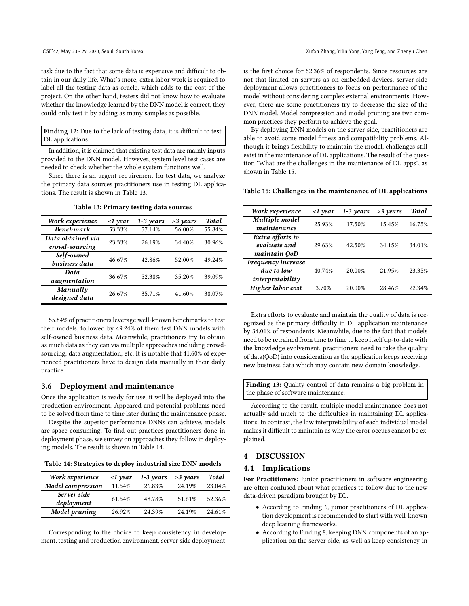task due to the fact that some data is expensive and difficult to obtain in our daily life. What's more, extra labor work is required to label all the testing data as oracle, which adds to the cost of the project. On the other hand, testers did not know how to evaluate whether the knowledge learned by the DNN model is correct, they could only test it by adding as many samples as possible.

Finding 12: Due to the lack of testing data, it is difficult to test DL applications.

In addition, it is claimed that existing test data are mainly inputs provided to the DNN model. However, system level test cases are needed to check whether the whole system functions well.

Since there is an urgent requirement for test data, we analyze the primary data sources practitioners use in testing DL applications. The result is shown in Table [13.](#page-7-0)

<span id="page-7-0"></span>

| Work experience                     | $\langle$ 1 year | $1-3$ years | $>3$ years | <b>Total</b> |
|-------------------------------------|------------------|-------------|------------|--------------|
| <b>Benchmark</b>                    | 53.33%           | 57.14%      | 56.00%     | 55.84%       |
| Data obtained via<br>crowd-sourcing | 23.33%           | 26.19%      | 34.40%     | 30.96%       |
| Self-owned<br>business data         | 46.67%           | 42.86%      | 52.00%     | 49.24%       |
| Data<br>augmentation                | 36.67%           | 52.38%      | 35.20%     | 39.09%       |
| Manually<br>designed data           | 26.67%           | 35.71%      | 41.60%     | 38.07%       |

Table 13: Primary testing data sources

55.84% of practitioners leverage well-known benchmarks to test their models, followed by 49.24% of them test DNN models with self-owned business data. Meanwhile, practitioners try to obtain as much data as they can via multiple approaches including crowdsourcing, data augmentation, etc. It is notable that 41.60% of experienced practitioners have to design data manually in their daily practice.

### 3.6 Deployment and maintenance

Once the application is ready for use, it will be deployed into the production environment. Appeared and potential problems need to be solved from time to time later during the maintenance phase.

Despite the superior performance DNNs can achieve, models are space-consuming. To find out practices practitioners done in deployment phase, we survey on approaches they follow in deploying models. The result is shown in Table [14.](#page-7-1)

<span id="page-7-1"></span>Table 14: Strategies to deploy industrial size DNN models

| Work experience           | $\langle$ 1 year | $1-3$ years | $>3$ years | <b>Total</b> |
|---------------------------|------------------|-------------|------------|--------------|
| <b>Model</b> compression  | 11.54%           | 26.83%      | 24.19%     | 23.04%       |
| Server side<br>deployment | 61.54%           | 48.78%      | 51.61%     | 52.36%       |
| Model pruning             | 26.92%           | 24.39%      | 24.19%     | 24.61%       |

Corresponding to the choice to keep consistency in development, testing and production environment, server side deployment

is the first choice for 52.36% of respondents. Since resources are not that limited on servers as on embedded devices, server-side deployment allows practitioners to focus on performance of the model without considering complex external environments. However, there are some practitioners try to decrease the size of the DNN model. Model compression and model pruning are two common practices they perform to achieve the goal.

By deploying DNN models on the server side, practitioners are able to avoid some model fitness and compatibility problems. Although it brings flexibility to maintain the model, challenges still exist in the maintenance of DL applications. The result of the question "What are the challenges in the maintenance of DL apps", as shown in Table [15.](#page-7-2)

#### <span id="page-7-2"></span>Table 15: Challenges in the maintenance of DL applications

| Work experience                                      | $\langle$ 1 year | $1-3$ years | $>3$ years | <b>Total</b> |
|------------------------------------------------------|------------------|-------------|------------|--------------|
| Multiple model<br>maintenance                        | 25.93%           | 17.50%      | 15.45%     | 16.75%       |
| Extra efforts to<br>evaluate and<br>maintain QoD     | 29.63%           | 42.50%      | 34.15%     | 34.01%       |
| Frequency increase<br>due to low<br>interpretability | 40.74%           | 20.00%      | 21.95%     | 23.35%       |
| Higher labor cost                                    | 3.70%            | 20.00%      | 28.46%     | 22.34%       |

Extra efforts to evaluate and maintain the quality of data is recognized as the primary difficulty in DL application maintenance by 34.01% of respondents. Meanwhile, due to the fact that models need to be retrained from time to time to keep itself up-to-date with the knowledge evolvement, practitioners need to take the quality of data(QoD) into consideration as the application keeps receiving new business data which may contain new domain knowledge.

Finding 13: Quality control of data remains a big problem in the phase of software maintenance.

According to the result, multiple model maintenance does not actually add much to the difficulties in maintaining DL applications. In contrast, the low interpretability of each individual model makes it difficult to maintain as why the error occurs cannot be explained.

## 4 DISCUSSION

#### 4.1 Implications

For Practitioners: Junior practitioners in software engineering are often confused about what practices to follow due to the new data-driven paradigm brought by DL.

- According to Finding 6, junior practitioners of DL application development is recommended to start with well-known deep learning frameworks.
- According to Finding 8, keeping DNN components of an application on the server-side, as well as keep consistency in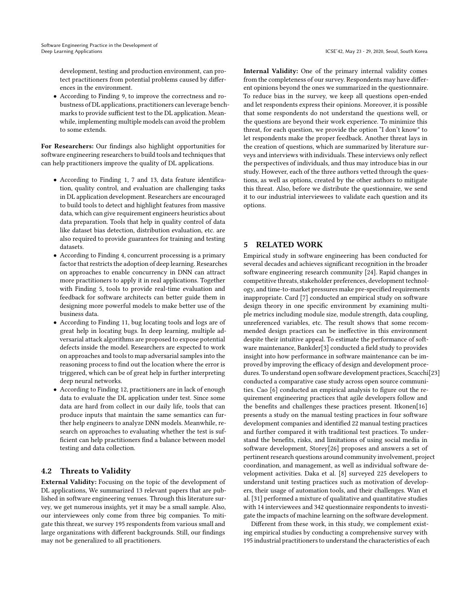development, testing and production environment, can protect practitioners from potential problems caused by differences in the environment.

• According to Finding 9, to improve the correctness and robustness of DL applications, practitioners can leverage benchmarks to provide sufficient test to the DL application. Meanwhile, implementing multiple models can avoid the problem to some extends.

For Researchers: Our findings also highlight opportunities for software engineering researchers to build tools and techniques that can help practitioners improve the quality of DL applications.

- According to Finding 1, 7 and 13, data feature identification, quality control, and evaluation are challenging tasks in DL application development. Researchers are encouraged to build tools to detect and highlight features from massive data, which can give requirement engineers heuristics about data preparation. Tools that help in quality control of data like dataset bias detection, distribution evaluation, etc. are also required to provide guarantees for training and testing datasets.
- According to Finding 4, concurrent processing is a primary factor that restricts the adoption of deep learning. Researches on approaches to enable concurrency in DNN can attract more practitioners to apply it in real applications. Together with Finding 5, tools to provide real-time evaluation and feedback for software architects can better guide them in designing more powerful models to make better use of the business data.
- According to Finding 11, bug locating tools and logs are of great help in locating bugs. In deep learning, multiple adversarial attack algorithms are proposed to expose potential defects inside the model. Researchers are expected to work on approaches and tools to map adversarial samples into the reasoning process to find out the location where the error is triggered, which can be of great help in further interpreting deep neural networks.
- According to Finding 12, practitioners are in lack of enough data to evaluate the DL application under test. Since some data are hard from collect in our daily life, tools that can produce inputs that maintain the same semantics can further help engineers to analyze DNN models. Meanwhile, research on approaches to evaluating whether the test is sufficient can help practitioners find a balance between model testing and data collection.

# 4.2 Threats to Validity

External Validity: Focusing on the topic of the development of DL applications, We summarized 13 relevant papers that are published in software engineering venues. Through this literature survey, we get numerous insights, yet it may be a small sample. Also, our interviewees only come from three big companies. To mitigate this threat, we survey 195 respondents from various small and large organizations with different backgrounds. Still, our findings may not be generalized to all practitioners.

Internal Validity: One of the primary internal validity comes from the completeness of our survey. Respondents may have different opinions beyond the ones we summarized in the questionnaire. To reduce bias in the survey, we keep all questions open-ended and let respondents express their opinions. Moreover, it is possible that some respondents do not understand the questions well, or the questions are beyond their work experience. To minimize this threat, for each question, we provide the option "I don't know" to let respondents make the proper feedback. Another threat lays in the creation of questions, which are summarized by literature surveys and interviews with individuals. These interviews only reflect the perspectives of individuals, and thus may introduce bias in our study. However, each of the three authors vetted through the questions, as well as options, created by the other authors to mitigate this threat. Also, before we distribute the questionnaire, we send it to our industrial interviewees to validate each question and its options.

# 5 RELATED WORK

Empirical study in software engineering has been conducted for several decades and achieves significant recognition in the broader software engineering research community [\[24\]](#page-9-27). Rapid changes in competitive threats, stakeholder preferences, development technology, and time-to-market pressures make pre-specified requirements inappropriate. Card [\[7](#page-9-28)] conducted an empirical study on software design theory in one specific environment by examining multiple metrics including module size, module strength, data coupling, unreferenced variables, etc. The result shows that some recommended design practices can be ineffective in this environment despite their intuitive appeal. To estimate the performance of software maintenance, Bankder[\[3](#page-9-29)] conducted a field study to provides insight into how performance in software maintenance can be improved by improving the efficacy of design and development procedures. To understand open software development practices, Scacchi[\[23](#page-9-30)] conducted a comparative case study across open source communities. Cao [\[6\]](#page-9-31) conducted an empirical analysis to figure out the requirement engineering practices that agile developers follow and the benefits and challenges these practices present. Itkonen[\[16](#page-9-32)] presents a study on the manual testing practices in four software development companies and identified 22 manual testing practices and further compared it with traditional test practices. To understand the benefits, risks, and limitations of using social media in software development, Storey[\[26\]](#page-9-33) proposes and answers a set of pertinent research questions around community involvement, project coordination, and management, as well as individual software development activities. Daka et al. [\[8\]](#page-9-34) surveyed 225 developers to understand unit testing practices such as motivation of developers, their usage of automation tools, and their challenges. Wan et al. [\[31\]](#page-9-16) performed a mixture of qualitative and quantitative studies with 14 interviewees and 342 questionnaire respondents to investigate the impacts of machine learning on the software development.

Different from these work, in this study, we complement existing empirical studies by conducting a comprehensive survey with 195 industrial practitioners to understand the characteristics of each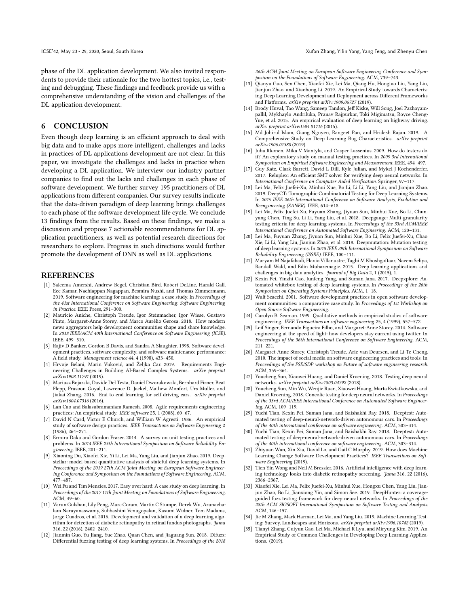phase of the DL application development. We also invited respondents to provide their rationale for the two hottest topics, i.e., testing and debugging. These findings and feedback provide us with a comprehensive understanding of the vision and challenges of the DL application development.

# 6 CONCLUSION

Even though deep learning is an efficient approach to deal with big data and to make apps more intelligent, challenges and lacks in practices of DL applications development are not clear. In this paper, we investigate the challenges and lacks in practice when developing a DL application. We interview our industry partner companies to find out the lacks and challenges in each phase of software development. We further survey 195 practitioners of DL applications from different companies. Our survey results indicate that the data-driven paradigm of deep learning brings challenges to each phase of the software development life cycle. We conclude 13 findings from the results. Based on these findings, we make a discussion and propose 7 actionable recommendations for DL application practitioners, as well as potential research directions for researchers to explore. Progress in such directions would further promote the development of DNN as well as DL applications.

### **REFERENCES**

- <span id="page-9-5"></span>[1] Saleema Amershi, Andrew Begel, Christian Bird, Robert DeLine, Harald Gall, Ece Kamar, Nachiappan Nagappan, Besmira Nushi, and Thomas Zimmermann. 2019. Software engineering for machine learning: a case study. In Proceedings of the 41st International Conference on Software Engineering: Software Engineering in Practice. IEEE Press, 291–300.
- <span id="page-9-25"></span>[2] Maurício Aniche, Christoph Treude, Igor Steinmacher, Igor Wiese, Gustavo Pinto, Margaret-Anne Storey, and Marco Aurélio Gerosa. 2018. How modern news aggregators help development communities shape and share knowledge. In 2018 IEEE/ACM 40th International Conference on Software Engineering (ICSE). IEEE, 499–510.
- <span id="page-9-29"></span>[3] Rajiv D Banker, Gordon B Davis, and Sandra A Slaughter. 1998. Software development practices, software complexity, and software maintenance performance: A field study. Management science 44, 4 (1998), 433–450.
- <span id="page-9-18"></span>[4] Hrvoje Belani, Marin Vuković, and Željka Car. 2019. Requirements Engineering Challenges in Building AI-Based Complex Systems. arXiv preprint arXiv:1908.11791 (2019).
- <span id="page-9-2"></span>[5] Mariusz Bojarski, Davide Del Testa, Daniel Dworakowski, Bernhard Firner, Beat Flepp, Prasoon Goyal, Lawrence D. Jackel, Mathew Monfort, Urs Muller, and Jiakai Zhang. 2016. End to end learning for self-driving cars. arXiv preprint arXiv:1604.07316 (2016).
- <span id="page-9-31"></span>[6] Lan Cao and Balasubramaniam Ramesh. 2008. Agile requirements engineering practices: An empirical study. IEEE software 25, 1 (2008), 60–67.
- <span id="page-9-28"></span>[7] David N Card, Victor E Church, and William W Agresti. 1986. An empirical study of software design practices. IEEE Transactions on Software Engineering 2 (1986), 264–271.
- <span id="page-9-34"></span>[8] Ermira Daka and Gordon Fraser. 2014. A survey on unit testing practices and problems. In 2014 IEEE 25th International Symposium on Software Reliability Engineering. IEEE, 201–211.
- <span id="page-9-11"></span>[9] Xiaoning Du, Xiaofei Xie, Yi Li, Lei Ma, Yang Liu, and Jianjun Zhao. 2019. Deepstellar: model-based quantitative analysis of stateful deep learning systems. In Proceedings of the 2019 27th ACM Joint Meeting on European Software Engineering Conference and Symposium on the Foundations of Software Engineering. ACM, 477–487.
- <span id="page-9-24"></span>[10] Wei Fu and Tim Menzies. 2017. Easy over hard: A case study on deep learning. In Proceedings of the 2017 11th Joint Meeting on Foundations of Software Engineering. ACM, 49–60.
- <span id="page-9-0"></span>[11] Varun Gulshan, Lily Peng, Marc Coram, Martin C Stumpe, Derek Wu, Arunachalam Narayanaswamy, Subhashini Venugopalan, Kasumi Widner, Tom Madams, Jorge Cuadros, et al. 2016. Development and validation of a deep learning algorithm for detection of diabetic retinopathy in retinal fundus photographs. Jama 316, 22 (2016), 2402–2410.
- <span id="page-9-12"></span>[12] Jianmin Guo, Yu Jiang, Yue Zhao, Quan Chen, and Jiaguang Sun. 2018. Dlfuzz: Differential fuzzing testing of deep learning systems. In Proceedings of the 2018

26th ACM Joint Meeting on European Software Engineering Conference and Symposium on the Foundations of Software Engineering. ACM, 739–743.

- <span id="page-9-22"></span>[13] Qianyu Guo, Sen Chen, Xiaofei Xie, Lei Ma, Qiang Hu, Hongtao Liu, Yang Liu, Jianjun Zhao, and Xiaohong Li. 2019. An Empirical Study towards Characterizing Deep Learning Development and Deployment across Different Frameworks and Platforms. arXiv preprint arXiv:1909.06727 (2019).
- <span id="page-9-3"></span>[14] Brody Huval, Tao Wang, Sameep Tandon, Jeff Kiske, Will Song, Joel Pazhayampallil, Mykhaylo Andriluka, Pranav Rajpurkar, Toki Migimatsu, Royce Cheng-Yue, et al. 2015. An empirical evaluation of deep learning on highway driving. arXiv preprint arXiv:1504.01716 (2015).
- <span id="page-9-17"></span>[15] Md Johirul Islam, Giang Nguyen, Rangeet Pan, and Hridesh Rajan. 2019. A Comprehensive Study on Deep Learning Bug Characteristics. arXiv preprint arXiv:1906.01388 (2019).
- <span id="page-9-32"></span>[16] Juha Itkonen, Mika V Mantyla, and Casper Lassenius. 2009. How do testers do it? An exploratory study on manual testing practices. In 2009 3rd International Symposium on Empirical Software Engineering and Measurement. IEEE, 494–497.
- <span id="page-9-4"></span>[17] Guy Katz, Clark Barrett, David L Dill, Kyle Julian, and Mykel J Kochenderfer. 2017. Reluplex: An efficient SMT solver for verifying deep neural networks. In International Conference on Computer Aided Verification. Springer, 97–117.
- <span id="page-9-8"></span>[18] Lei Ma, Felix Juefei-Xu, Minhui Xue, Bo Li, Li Li, Yang Liu, and Jianjun Zhao. 2019. DeepCT: Tomographic Combinatorial Testing for Deep Learning Systems. In 2019 IEEE 26th International Conference on Software Analysis, Evolution and Reengineering (SANER). IEEE, 614–618.
- <span id="page-9-19"></span>[19] Lei Ma, Felix Juefei-Xu, Fuyuan Zhang, Jiyuan Sun, Minhui Xue, Bo Li, Chunyang Chen, Ting Su, Li Li, Yang Liu, et al. 2018. Deepgauge: Multi-granularity testing criteria for deep learning systems. In Proceedings of the 33rd ACM/IEEE International Conference on Automated Software Engineering. ACM, 120–131.
- <span id="page-9-9"></span>[20] Lei Ma, Fuyuan Zhang, Jiyuan Sun, Minhui Xue, Bo Li, Felix Juefei-Xu, Chao Xie, Li Li, Yang Liu, Jianjun Zhao, et al. 2018. Deepmutation: Mutation testing of deep learning systems. In 2018 IEEE 29th International Symposium on Software Reliability Engineering (ISSRE). IEEE, 100–111.
- <span id="page-9-23"></span>[21] Maryam M Najafabadi, Flavio Villanustre, Taghi M Khoshgoftaar, Naeem Seliya, Randall Wald, and Edin Muharemagic. 2015. Deep learning applications and challenges in big data analytics. Journal of Big Data 2, 1 (2015), 1.
- <span id="page-9-13"></span>[22] Kexin Pei, Yinzhi Cao, Junfeng Yang, and Suman Jana. 2017. Deepxplore: Automated whitebox testing of deep learning systems. In Proceedings of the 26th Symposium on Operating Systems Principles. ACM, 1–18.
- <span id="page-9-30"></span>[23] Walt Scacchi. 2001. Software development practices in open software development communities: a comparative case study. In Proceedings of 1st Workshop on Open Source Software Engineering.
- <span id="page-9-27"></span>[24] Carolyn B. Seaman. 1999. Qualitative methods in empirical studies of software engineering. IEEE Transactions on software engineering 25, 4 (1999), 557–572.
- <span id="page-9-26"></span>[25] Leif Singer, Fernando Figueira Filho, and Margaret-Anne Storey. 2014. Software engineering at the speed of light: how developers stay current using twitter. In Proceedings of the 36th International Conference on Software Engineering. ACM, 211–221.
- <span id="page-9-33"></span>[26] Margaret-Anne Storey, Christoph Treude, Arie van Deursen, and Li-Te Cheng. 2010. The impact of social media on software engineering practices and tools. In Proceedings of the FSE/SDP workshop on Future of software engineering research. ACM, 359–364.
- <span id="page-9-10"></span>[27] Youcheng Sun, Xiaowei Huang, and Daniel Kroening. 2018. Testing deep neural networks. arXiv preprint arXiv:1803.04792 (2018).
- <span id="page-9-20"></span>[28] Youcheng Sun, Min Wu, Wenjie Ruan, Xiaowei Huang, Marta Kwiatkowska, and Daniel Kroening. 2018. Concolic testing for deep neural networks. In Proceedings of the 33rd ACM/IEEE International Conference on Automated Software Engineering. ACM, 109–119.
- <span id="page-9-14"></span>[29] Yuchi Tian, Kexin Pei, Suman Jana, and Baishakhi Ray. 2018. Deeptest: Automated testing of deep-neural-network-driven autonomous cars. In Proceedings of the 40th international conference on software engineering. ACM, 303–314.
- <span id="page-9-21"></span>[30] Yuchi Tian, Kexin Pei, Suman Jana, and Baishakhi Ray. 2018. Deeptest: Automated testing of deep-neural-network-driven autonomous cars. In Proceedings of the 40th international conference on software engineering. ACM, 303–314.
- <span id="page-9-16"></span>[31] Zhiyuan Wan, Xin Xia, David Lo, and Gail C Murphy. 2019. How does Machine Learning Change Software Development Practices? IEEE Transactions on Software Engineering (2019).
- <span id="page-9-1"></span>[32] Tien Yin Wong and Neil M Bressler. 2016. Artificial intelligence with deep learning technology looks into diabetic retinopathy screening. Jama 316, 22 (2016), 2366–2367.
- <span id="page-9-15"></span>[33] Xiaofei Xie, Lei Ma, Felix Juefei-Xu, Minhui Xue, Hongxu Chen, Yang Liu, Jianjun Zhao, Bo Li, Jianxiong Yin, and Simon See. 2019. DeepHunter: a coverageguided fuzz testing framework for deep neural networks. In Proceedings of the 28th ACM SIGSOFT International Symposium on Software Testing and Analysis. ACM, 146–157.
- <span id="page-9-6"></span>[34] Jie M Zhang, Mark Harman, Lei Ma, and Yang Liu. 2019. Machine Learning Testing: Survey, Landscapes and Horizons. arXiv preprint arXiv:1906.10742 (2019).
- <span id="page-9-7"></span>[35] Tianyi Zhang, Cuiyun Gao, Lei Ma, Michael R Lyu, and Miryung Kim. 2019. An Empirical Study of Common Challenges in Developing Deep Learning Applications. (2019).